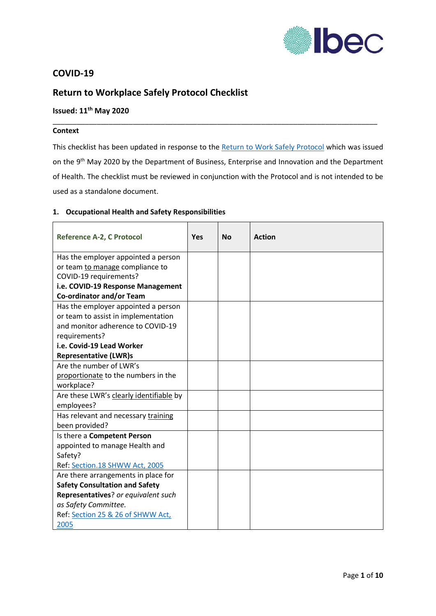

## **COVID-19**

# **Return to Workplace Safely Protocol Checklist**

# **Issued: 11th May 2020**

### **Context**

This checklist has been updated in response to the [Return to Work Safely Protocol](https://dbei.gov.ie/en/Publications/Publication-files/Return-to-Work-Safely-Protocol.pdf) which was issued on the 9<sup>th</sup> May 2020 by the Department of Business, Enterprise and Innovation and the Department of Health. The checklist must be reviewed in conjunction with the Protocol and is not intended to be used as a standalone document.

\_\_\_\_\_\_\_\_\_\_\_\_\_\_\_\_\_\_\_\_\_\_\_\_\_\_\_\_\_\_\_\_\_\_\_\_\_\_\_\_\_\_\_\_\_\_\_\_\_\_\_\_\_\_\_\_\_\_\_\_\_\_\_\_\_\_\_\_\_\_\_\_\_\_\_\_\_\_\_\_\_

#### **1. Occupational Health and Safety Responsibilities**

| <b>Reference A-2, C Protocol</b>        | Yes | <b>No</b> | <b>Action</b> |
|-----------------------------------------|-----|-----------|---------------|
| Has the employer appointed a person     |     |           |               |
| or team to manage compliance to         |     |           |               |
| COVID-19 requirements?                  |     |           |               |
| i.e. COVID-19 Response Management       |     |           |               |
| Co-ordinator and/or Team                |     |           |               |
| Has the employer appointed a person     |     |           |               |
| or team to assist in implementation     |     |           |               |
| and monitor adherence to COVID-19       |     |           |               |
| requirements?                           |     |           |               |
| i.e. Covid-19 Lead Worker               |     |           |               |
| <b>Representative (LWR)s</b>            |     |           |               |
| Are the number of LWR's                 |     |           |               |
| proportionate to the numbers in the     |     |           |               |
| workplace?                              |     |           |               |
| Are these LWR's clearly identifiable by |     |           |               |
| employees?                              |     |           |               |
| Has relevant and necessary training     |     |           |               |
| been provided?                          |     |           |               |
| Is there a Competent Person             |     |           |               |
| appointed to manage Health and          |     |           |               |
| Safety?                                 |     |           |               |
| Ref: Section.18 SHWW Act, 2005          |     |           |               |
| Are there arrangements in place for     |     |           |               |
| <b>Safety Consultation and Safety</b>   |     |           |               |
| Representatives? or equivalent such     |     |           |               |
| as Safety Committee.                    |     |           |               |
| Ref: Section 25 & 26 of SHWW Act,       |     |           |               |
| 2005                                    |     |           |               |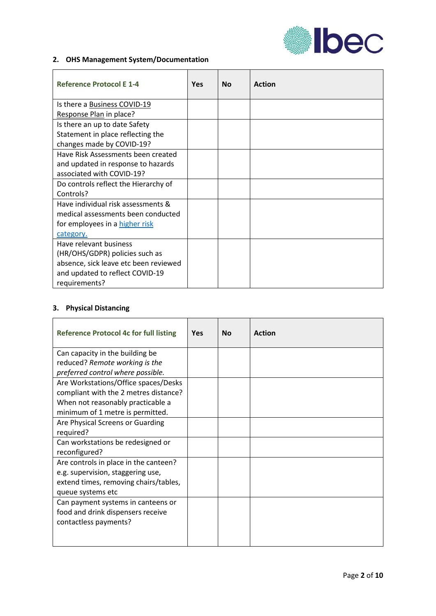

## **2. OHS Management System/Documentation**

| <b>Reference Protocol E 1-4</b>       | Yes | <b>No</b> | <b>Action</b> |
|---------------------------------------|-----|-----------|---------------|
| Is there a Business COVID-19          |     |           |               |
| Response Plan in place?               |     |           |               |
| Is there an up to date Safety         |     |           |               |
| Statement in place reflecting the     |     |           |               |
| changes made by COVID-19?             |     |           |               |
| Have Risk Assessments been created    |     |           |               |
| and updated in response to hazards    |     |           |               |
| associated with COVID-19?             |     |           |               |
| Do controls reflect the Hierarchy of  |     |           |               |
| Controls?                             |     |           |               |
| Have individual risk assessments &    |     |           |               |
| medical assessments been conducted    |     |           |               |
| for employees in a higher risk        |     |           |               |
| category.                             |     |           |               |
| Have relevant business                |     |           |               |
| (HR/OHS/GDPR) policies such as        |     |           |               |
| absence, sick leave etc been reviewed |     |           |               |
| and updated to reflect COVID-19       |     |           |               |
| requirements?                         |     |           |               |

#### **3. Physical Distancing**

| <b>Reference Protocol 4c for full listing</b> | Yes | Nο | <b>Action</b> |
|-----------------------------------------------|-----|----|---------------|
| Can capacity in the building be               |     |    |               |
| reduced? Remote working is the                |     |    |               |
| preferred control where possible.             |     |    |               |
| Are Workstations/Office spaces/Desks          |     |    |               |
| compliant with the 2 metres distance?         |     |    |               |
| When not reasonably practicable a             |     |    |               |
| minimum of 1 metre is permitted.              |     |    |               |
| Are Physical Screens or Guarding              |     |    |               |
| required?                                     |     |    |               |
| Can workstations be redesigned or             |     |    |               |
| reconfigured?                                 |     |    |               |
| Are controls in place in the canteen?         |     |    |               |
| e.g. supervision, staggering use,             |     |    |               |
| extend times, removing chairs/tables,         |     |    |               |
| queue systems etc                             |     |    |               |
| Can payment systems in canteens or            |     |    |               |
| food and drink dispensers receive             |     |    |               |
| contactless payments?                         |     |    |               |
|                                               |     |    |               |
|                                               |     |    |               |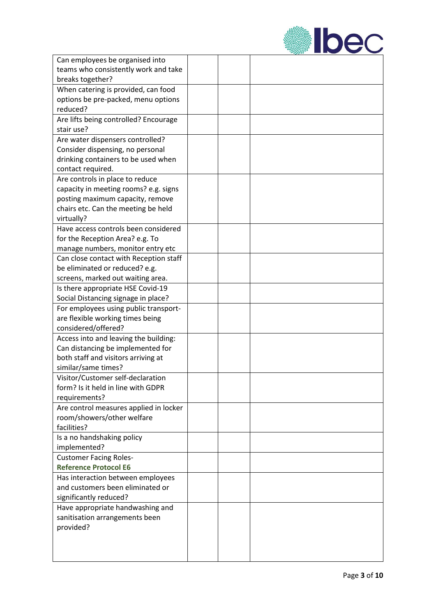

| Can employees be organised into            |  |  |
|--------------------------------------------|--|--|
| teams who consistently work and take       |  |  |
| breaks together?                           |  |  |
| When catering is provided, can food        |  |  |
| options be pre-packed, menu options        |  |  |
| reduced?                                   |  |  |
| Are lifts being controlled? Encourage      |  |  |
| stair use?                                 |  |  |
| Are water dispensers controlled?           |  |  |
| Consider dispensing, no personal           |  |  |
| drinking containers to be used when        |  |  |
| contact required.                          |  |  |
| Are controls in place to reduce            |  |  |
| capacity in meeting rooms? e.g. signs      |  |  |
| posting maximum capacity, remove           |  |  |
| chairs etc. Can the meeting be held        |  |  |
| virtually?                                 |  |  |
| Have access controls been considered       |  |  |
| for the Reception Area? e.g. To            |  |  |
| manage numbers, monitor entry etc          |  |  |
| Can close contact with Reception staff     |  |  |
| be eliminated or reduced? e.g.             |  |  |
| screens, marked out waiting area.          |  |  |
| Is there appropriate HSE Covid-19          |  |  |
| Social Distancing signage in place?        |  |  |
| For employees using public transport-      |  |  |
| are flexible working times being           |  |  |
| considered/offered?                        |  |  |
| Access into and leaving the building:      |  |  |
| Can distancing be implemented for          |  |  |
| both staff and visitors arriving at        |  |  |
| similar/same times?                        |  |  |
| Visitor/Customer self-declaration          |  |  |
| form? Is it held in line with GDPR         |  |  |
| requirements?                              |  |  |
| Are control measures applied in locker     |  |  |
| room/showers/other welfare                 |  |  |
| facilities?                                |  |  |
|                                            |  |  |
| Is a no handshaking policy<br>implemented? |  |  |
| <b>Customer Facing Roles-</b>              |  |  |
| <b>Reference Protocol E6</b>               |  |  |
|                                            |  |  |
| Has interaction between employees          |  |  |
| and customers been eliminated or           |  |  |
| significantly reduced?                     |  |  |
| Have appropriate handwashing and           |  |  |
| sanitisation arrangements been             |  |  |
| provided?                                  |  |  |
|                                            |  |  |
|                                            |  |  |
|                                            |  |  |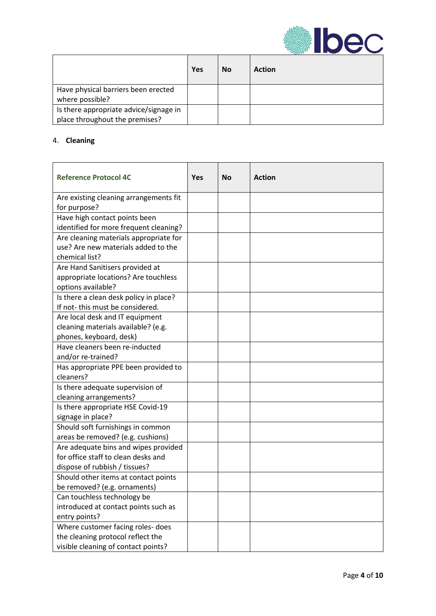

|                                                                          | Yes | No | <b>Action</b> |
|--------------------------------------------------------------------------|-----|----|---------------|
| Have physical barriers been erected<br>where possible?                   |     |    |               |
| Is there appropriate advice/signage in<br>place throughout the premises? |     |    |               |

## 4. **Cleaning**

| <b>Reference Protocol 4C</b>                                                                                  | <b>Yes</b> | <b>No</b> | <b>Action</b> |
|---------------------------------------------------------------------------------------------------------------|------------|-----------|---------------|
| Are existing cleaning arrangements fit<br>for purpose?                                                        |            |           |               |
| Have high contact points been                                                                                 |            |           |               |
| identified for more frequent cleaning?                                                                        |            |           |               |
| Are cleaning materials appropriate for<br>use? Are new materials added to the<br>chemical list?               |            |           |               |
| Are Hand Sanitisers provided at<br>appropriate locations? Are touchless<br>options available?                 |            |           |               |
| Is there a clean desk policy in place?<br>If not-this must be considered.                                     |            |           |               |
| Are local desk and IT equipment<br>cleaning materials available? (e.g.<br>phones, keyboard, desk)             |            |           |               |
| Have cleaners been re-inducted<br>and/or re-trained?                                                          |            |           |               |
| Has appropriate PPE been provided to<br>cleaners?                                                             |            |           |               |
| Is there adequate supervision of<br>cleaning arrangements?                                                    |            |           |               |
| Is there appropriate HSE Covid-19<br>signage in place?                                                        |            |           |               |
| Should soft furnishings in common<br>areas be removed? (e.g. cushions)                                        |            |           |               |
| Are adequate bins and wipes provided<br>for office staff to clean desks and<br>dispose of rubbish / tissues?  |            |           |               |
| Should other items at contact points<br>be removed? (e.g. ornaments)                                          |            |           |               |
| Can touchless technology be<br>introduced at contact points such as<br>entry points?                          |            |           |               |
| Where customer facing roles- does<br>the cleaning protocol reflect the<br>visible cleaning of contact points? |            |           |               |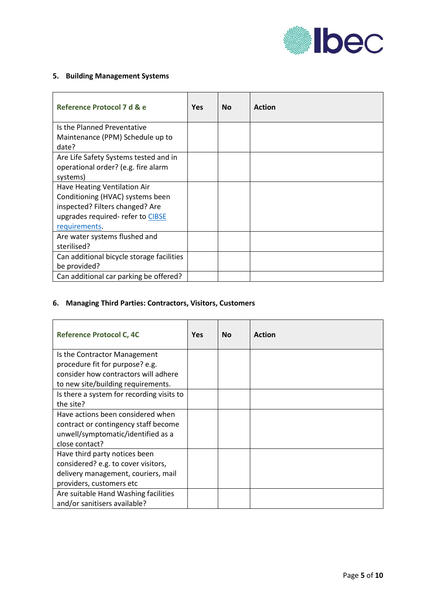

## **5. Building Management Systems**

| Reference Protocol 7 d & e                | <b>Yes</b> | <b>No</b> | <b>Action</b> |
|-------------------------------------------|------------|-----------|---------------|
| Is the Planned Preventative               |            |           |               |
| Maintenance (PPM) Schedule up to<br>date? |            |           |               |
| Are Life Safety Systems tested and in     |            |           |               |
| operational order? (e.g. fire alarm       |            |           |               |
| systems)                                  |            |           |               |
| Have Heating Ventilation Air              |            |           |               |
| Conditioning (HVAC) systems been          |            |           |               |
| inspected? Filters changed? Are           |            |           |               |
| upgrades required- refer to CIBSE         |            |           |               |
| requirements.                             |            |           |               |
| Are water systems flushed and             |            |           |               |
| sterilised?                               |            |           |               |
| Can additional bicycle storage facilities |            |           |               |
| be provided?                              |            |           |               |
| Can additional car parking be offered?    |            |           |               |

# **6. Managing Third Parties: Contractors, Visitors, Customers**

| <b>Reference Protocol C, 4C</b>           | <b>Yes</b> | <b>No</b> | <b>Action</b> |
|-------------------------------------------|------------|-----------|---------------|
| Is the Contractor Management              |            |           |               |
| procedure fit for purpose? e.g.           |            |           |               |
| consider how contractors will adhere      |            |           |               |
| to new site/building requirements.        |            |           |               |
| Is there a system for recording visits to |            |           |               |
| the site?                                 |            |           |               |
| Have actions been considered when         |            |           |               |
| contract or contingency staff become      |            |           |               |
| unwell/symptomatic/identified as a        |            |           |               |
| close contact?                            |            |           |               |
| Have third party notices been             |            |           |               |
| considered? e.g. to cover visitors,       |            |           |               |
| delivery management, couriers, mail       |            |           |               |
| providers, customers etc                  |            |           |               |
| Are suitable Hand Washing facilities      |            |           |               |
| and/or sanitisers available?              |            |           |               |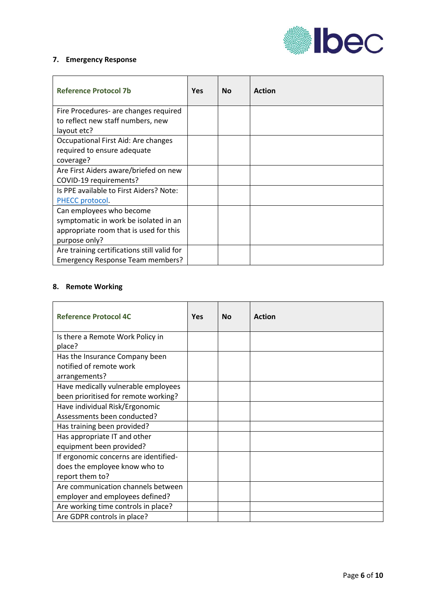

## **7. Emergency Response**

| <b>Reference Protocol 7b</b>                                               | <b>Yes</b> | <b>No</b> | <b>Action</b> |
|----------------------------------------------------------------------------|------------|-----------|---------------|
| Fire Procedures- are changes required<br>to reflect new staff numbers, new |            |           |               |
| layout etc?                                                                |            |           |               |
| Occupational First Aid: Are changes                                        |            |           |               |
| required to ensure adequate                                                |            |           |               |
| coverage?                                                                  |            |           |               |
| Are First Aiders aware/briefed on new                                      |            |           |               |
| COVID-19 requirements?                                                     |            |           |               |
| Is PPE available to First Aiders? Note:                                    |            |           |               |
| PHECC protocol.                                                            |            |           |               |
| Can employees who become                                                   |            |           |               |
| symptomatic in work be isolated in an                                      |            |           |               |
| appropriate room that is used for this                                     |            |           |               |
| purpose only?                                                              |            |           |               |
| Are training certifications still valid for                                |            |           |               |
| <b>Emergency Response Team members?</b>                                    |            |           |               |

### **8. Remote Working**

| <b>Reference Protocol 4C</b>          | Yes | <b>No</b> | <b>Action</b> |
|---------------------------------------|-----|-----------|---------------|
| Is there a Remote Work Policy in      |     |           |               |
| place?                                |     |           |               |
| Has the Insurance Company been        |     |           |               |
| notified of remote work               |     |           |               |
| arrangements?                         |     |           |               |
| Have medically vulnerable employees   |     |           |               |
| been prioritised for remote working?  |     |           |               |
| Have individual Risk/Ergonomic        |     |           |               |
| Assessments been conducted?           |     |           |               |
| Has training been provided?           |     |           |               |
| Has appropriate IT and other          |     |           |               |
| equipment been provided?              |     |           |               |
| If ergonomic concerns are identified- |     |           |               |
| does the employee know who to         |     |           |               |
| report them to?                       |     |           |               |
| Are communication channels between    |     |           |               |
| employer and employees defined?       |     |           |               |
| Are working time controls in place?   |     |           |               |
| Are GDPR controls in place?           |     |           |               |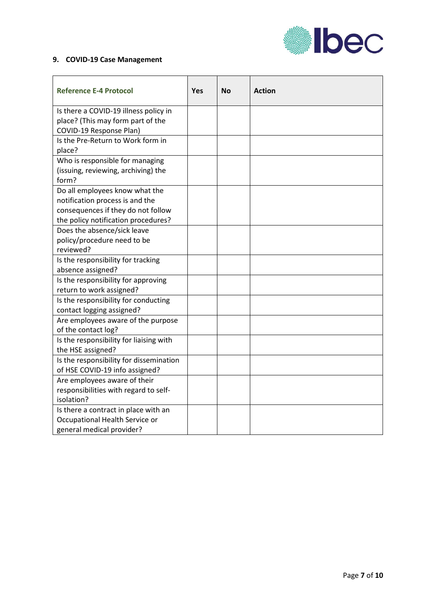

## **9. COVID-19 Case Management**

| <b>Reference E-4 Protocol</b>                                         | <b>Yes</b> | <b>No</b> | <b>Action</b> |
|-----------------------------------------------------------------------|------------|-----------|---------------|
| Is there a COVID-19 illness policy in                                 |            |           |               |
| place? (This may form part of the<br>COVID-19 Response Plan)          |            |           |               |
| Is the Pre-Return to Work form in                                     |            |           |               |
| place?                                                                |            |           |               |
| Who is responsible for managing                                       |            |           |               |
| (issuing, reviewing, archiving) the                                   |            |           |               |
| form?                                                                 |            |           |               |
| Do all employees know what the                                        |            |           |               |
| notification process is and the<br>consequences if they do not follow |            |           |               |
| the policy notification procedures?                                   |            |           |               |
| Does the absence/sick leave                                           |            |           |               |
| policy/procedure need to be                                           |            |           |               |
| reviewed?                                                             |            |           |               |
| Is the responsibility for tracking                                    |            |           |               |
| absence assigned?                                                     |            |           |               |
| Is the responsibility for approving                                   |            |           |               |
| return to work assigned?                                              |            |           |               |
| Is the responsibility for conducting                                  |            |           |               |
| contact logging assigned?<br>Are employees aware of the purpose       |            |           |               |
| of the contact log?                                                   |            |           |               |
| Is the responsibility for liaising with                               |            |           |               |
| the HSE assigned?                                                     |            |           |               |
| Is the responsibility for dissemination                               |            |           |               |
| of HSE COVID-19 info assigned?                                        |            |           |               |
| Are employees aware of their                                          |            |           |               |
| responsibilities with regard to self-                                 |            |           |               |
| isolation?<br>Is there a contract in place with an                    |            |           |               |
| Occupational Health Service or                                        |            |           |               |
| general medical provider?                                             |            |           |               |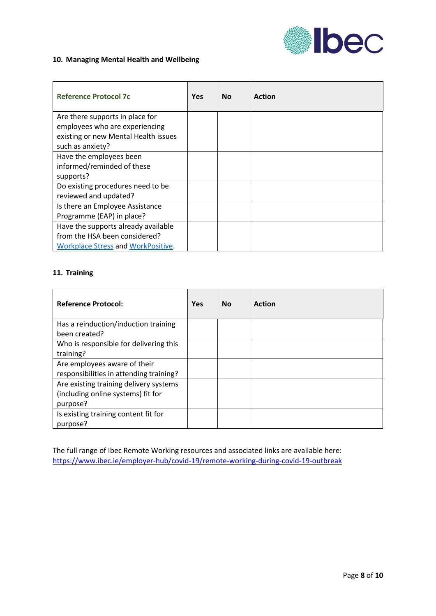

#### **10. Managing Mental Health and Wellbeing**

| <b>Reference Protocol 7c</b>              | <b>Yes</b> | <b>No</b> | <b>Action</b> |
|-------------------------------------------|------------|-----------|---------------|
| Are there supports in place for           |            |           |               |
| employees who are experiencing            |            |           |               |
| existing or new Mental Health issues      |            |           |               |
| such as anxiety?                          |            |           |               |
| Have the employees been                   |            |           |               |
| informed/reminded of these                |            |           |               |
| supports?                                 |            |           |               |
| Do existing procedures need to be         |            |           |               |
| reviewed and updated?                     |            |           |               |
| Is there an Employee Assistance           |            |           |               |
| Programme (EAP) in place?                 |            |           |               |
| Have the supports already available       |            |           |               |
| from the HSA been considered?             |            |           |               |
| <b>Workplace Stress and WorkPositive.</b> |            |           |               |

### **11. Training**

| <b>Reference Protocol:</b>                                                               | <b>Yes</b> | <b>No</b> | <b>Action</b> |
|------------------------------------------------------------------------------------------|------------|-----------|---------------|
| Has a reinduction/induction training<br>been created?                                    |            |           |               |
| Who is responsible for delivering this<br>training?                                      |            |           |               |
| Are employees aware of their<br>responsibilities in attending training?                  |            |           |               |
| Are existing training delivery systems<br>(including online systems) fit for<br>purpose? |            |           |               |
| Is existing training content fit for<br>purpose?                                         |            |           |               |

The full range of Ibec Remote Working resources and associated links are available here: <https://www.ibec.ie/employer-hub/covid-19/remote-working-during-covid-19-outbreak>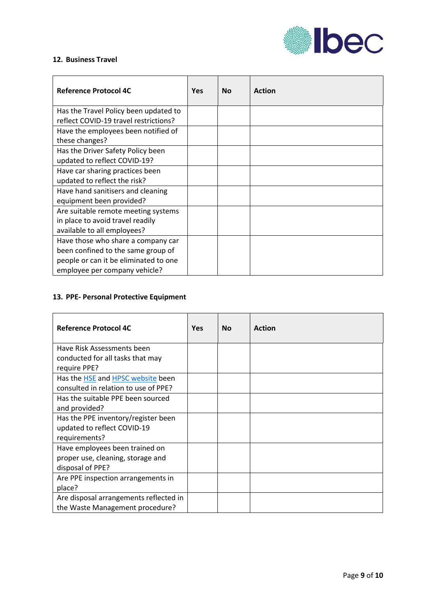

### **12. Business Travel**

| <b>Reference Protocol 4C</b>                                                                                                                       | <b>Yes</b> | <b>No</b> | <b>Action</b> |
|----------------------------------------------------------------------------------------------------------------------------------------------------|------------|-----------|---------------|
| Has the Travel Policy been updated to<br>reflect COVID-19 travel restrictions?                                                                     |            |           |               |
| Have the employees been notified of<br>these changes?                                                                                              |            |           |               |
| Has the Driver Safety Policy been<br>updated to reflect COVID-19?                                                                                  |            |           |               |
| Have car sharing practices been<br>updated to reflect the risk?                                                                                    |            |           |               |
| Have hand sanitisers and cleaning<br>equipment been provided?                                                                                      |            |           |               |
| Are suitable remote meeting systems<br>in place to avoid travel readily<br>available to all employees?                                             |            |           |               |
| Have those who share a company car<br>been confined to the same group of<br>people or can it be eliminated to one<br>employee per company vehicle? |            |           |               |

## **13. PPE- Personal Protective Equipment**

| <b>Reference Protocol 4C</b>           | <b>Yes</b> | <b>No</b> | <b>Action</b> |
|----------------------------------------|------------|-----------|---------------|
| Have Risk Assessments been             |            |           |               |
| conducted for all tasks that may       |            |           |               |
| require PPE?                           |            |           |               |
| Has the HSE and HPSC website been      |            |           |               |
| consulted in relation to use of PPE?   |            |           |               |
| Has the suitable PPE been sourced      |            |           |               |
| and provided?                          |            |           |               |
| Has the PPE inventory/register been    |            |           |               |
| updated to reflect COVID-19            |            |           |               |
| requirements?                          |            |           |               |
| Have employees been trained on         |            |           |               |
| proper use, cleaning, storage and      |            |           |               |
| disposal of PPE?                       |            |           |               |
| Are PPE inspection arrangements in     |            |           |               |
| place?                                 |            |           |               |
| Are disposal arrangements reflected in |            |           |               |
| the Waste Management procedure?        |            |           |               |